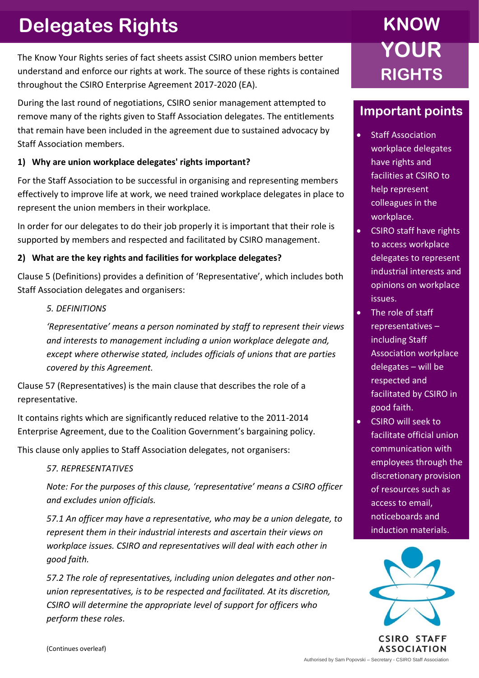# **Delegates Rights**

The Know Your Rights series of fact sheets assist CSIRO union members better understand and enforce our rights at work. The source of these rights is contained throughout the CSIRO Enterprise Agreement 2017-2020 (EA).

During the last round of negotiations, CSIRO senior management attempted to remove many of the rights given to Staff Association delegates. The entitlements that remain have been included in the agreement due to sustained advocacy by Staff Association members.

# **1) Why are union workplace delegates' rights important?**

For the Staff Association to be successful in organising and representing members effectively to improve life at work, we need trained workplace delegates in place to represent the union members in their workplace.

In order for our delegates to do their job properly it is important that their role is supported by members and respected and facilitated by CSIRO management.

# **2) What are the key rights and facilities for workplace delegates?**

Clause 5 (Definitions) provides a definition of 'Representative', which includes both Staff Association delegates and organisers:

# *5. DEFINITIONS*

*'Representative' means a person nominated by staff to represent their views and interests to management including a union workplace delegate and, except where otherwise stated, includes officials of unions that are parties covered by this Agreement.*

Clause 57 (Representatives) is the main clause that describes the role of a representative.

It contains rights which are significantly reduced relative to the 2011-2014 Enterprise Agreement, due to the Coalition Government's bargaining policy.

This clause only applies to Staff Association delegates, not organisers:

## *57. REPRESENTATIVES*

*Note: For the purposes of this clause, 'representative' means a CSIRO officer and excludes union officials.*

*57.1 An officer may have a representative, who may be a union delegate, to represent them in their industrial interests and ascertain their views on workplace issues. CSIRO and representatives will deal with each other in good faith.*

*57.2 The role of representatives, including union delegates and other nonunion representatives, is to be respected and facilitated. At its discretion, CSIRO will determine the appropriate level of support for officers who perform these roles.*

# **KNOW YOUR RIGHTS**

# **Important points**

- **Staff Association** workplace delegates have rights and facilities at CSIRO to help represent colleagues in the workplace.
- CSIRO staff have rights to access workplace delegates to represent industrial interests and opinions on workplace issues.
- The role of staff representatives – including Staff Association workplace delegates – will be respected and facilitated by CSIRO in good faith.
- CSIRO will seek to facilitate official union communication with employees through the discretionary provision of resources such as access to email, noticeboards and induction materials.



**CSIRO STAFF ASSOCIATION**